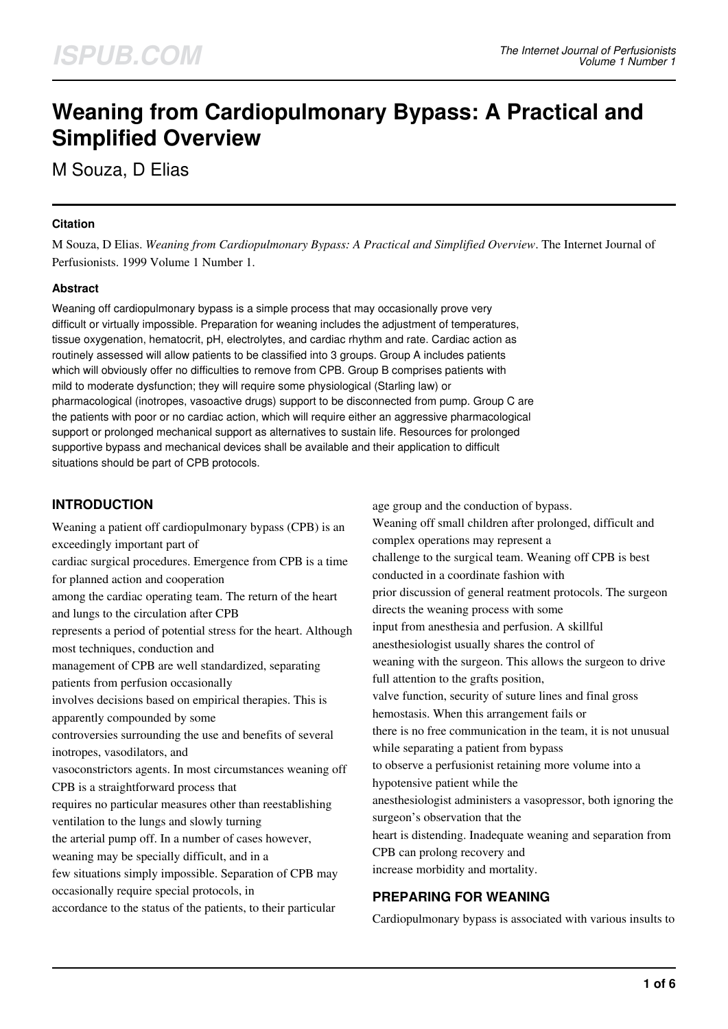# **Weaning from Cardiopulmonary Bypass: A Practical and Simplified Overview**

M Souza, D Elias

#### **Citation**

M Souza, D Elias. *Weaning from Cardiopulmonary Bypass: A Practical and Simplified Overview*. The Internet Journal of Perfusionists. 1999 Volume 1 Number 1.

#### **Abstract**

Weaning off cardiopulmonary bypass is a simple process that may occasionally prove very difficult or virtually impossible. Preparation for weaning includes the adjustment of temperatures, tissue oxygenation, hematocrit, pH, electrolytes, and cardiac rhythm and rate. Cardiac action as routinely assessed will allow patients to be classified into 3 groups. Group A includes patients which will obviously offer no difficulties to remove from CPB. Group B comprises patients with mild to moderate dysfunction; they will require some physiological (Starling law) or pharmacological (inotropes, vasoactive drugs) support to be disconnected from pump. Group C are the patients with poor or no cardiac action, which will require either an aggressive pharmacological support or prolonged mechanical support as alternatives to sustain life. Resources for prolonged supportive bypass and mechanical devices shall be available and their application to difficult situations should be part of CPB protocols.

### **INTRODUCTION**

Weaning a patient off cardiopulmonary bypass (CPB) is an exceedingly important part of cardiac surgical procedures. Emergence from CPB is a time for planned action and cooperation among the cardiac operating team. The return of the heart and lungs to the circulation after CPB represents a period of potential stress for the heart. Although most techniques, conduction and management of CPB are well standardized, separating patients from perfusion occasionally involves decisions based on empirical therapies. This is apparently compounded by some controversies surrounding the use and benefits of several inotropes, vasodilators, and vasoconstrictors agents. In most circumstances weaning off CPB is a straightforward process that requires no particular measures other than reestablishing ventilation to the lungs and slowly turning the arterial pump off. In a number of cases however, weaning may be specially difficult, and in a few situations simply impossible. Separation of CPB may occasionally require special protocols, in accordance to the status of the patients, to their particular

age group and the conduction of bypass. Weaning off small children after prolonged, difficult and complex operations may represent a challenge to the surgical team. Weaning off CPB is best conducted in a coordinate fashion with prior discussion of general reatment protocols. The surgeon directs the weaning process with some input from anesthesia and perfusion. A skillful anesthesiologist usually shares the control of weaning with the surgeon. This allows the surgeon to drive full attention to the grafts position, valve function, security of suture lines and final gross hemostasis. When this arrangement fails or there is no free communication in the team, it is not unusual while separating a patient from bypass to observe a perfusionist retaining more volume into a hypotensive patient while the anesthesiologist administers a vasopressor, both ignoring the surgeon's observation that the heart is distending. Inadequate weaning and separation from CPB can prolong recovery and increase morbidity and mortality.

# **PREPARING FOR WEANING**

Cardiopulmonary bypass is associated with various insults to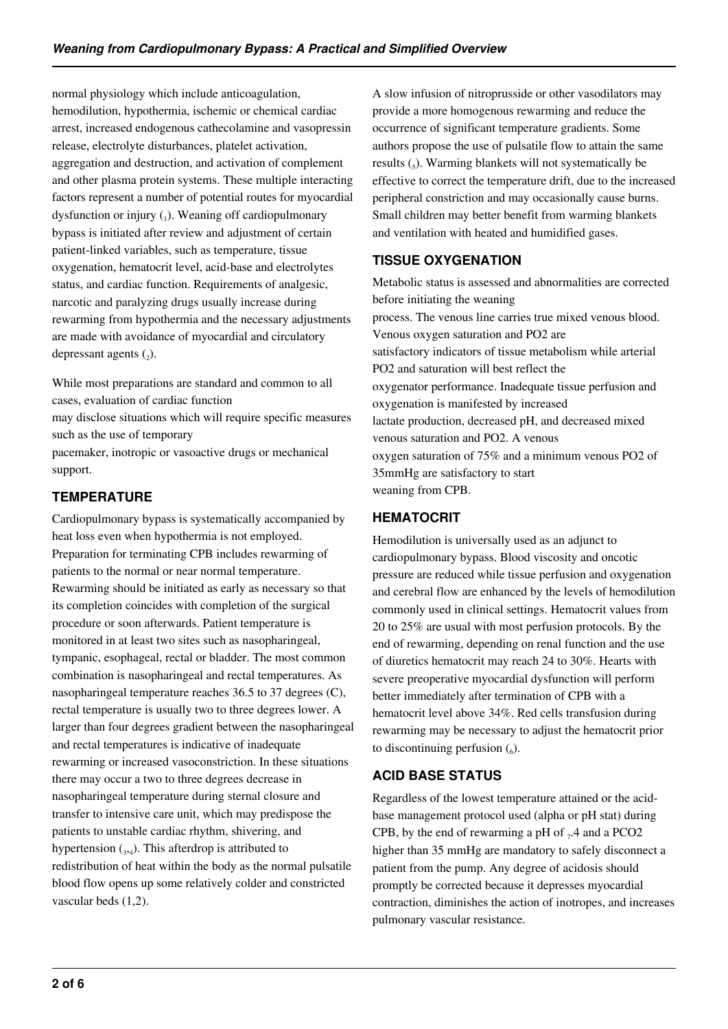normal physiology which include anticoagulation, hemodilution, hypothermia, ischemic or chemical cardiac arrest, increased endogenous cathecolamine and vasopressin release, electrolyte disturbances, platelet activation, aggregation and destruction, and activation of complement and other plasma protein systems. These multiple interacting factors represent a number of potential routes for myocardial dysfunction or injury  $(_{1})$ . Weaning off cardiopulmonary bypass is initiated after review and adjustment of certain patient-linked variables, such as temperature, tissue oxygenation, hematocrit level, acid-base and electrolytes status, and cardiac function. Requirements of analgesic, narcotic and paralyzing drugs usually increase during rewarming from hypothermia and the necessary adjustments are made with avoidance of myocardial and circulatory depressant agents  $(_{2})$ .

While most preparations are standard and common to all cases, evaluation of cardiac function

may disclose situations which will require specific measures such as the use of temporary

pacemaker, inotropic or vasoactive drugs or mechanical support.

## **TEMPERATURE**

Cardiopulmonary bypass is systematically accompanied by heat loss even when hypothermia is not employed. Preparation for terminating CPB includes rewarming of patients to the normal or near normal temperature. Rewarming should be initiated as early as necessary so that its completion coincides with completion of the surgical procedure or soon afterwards. Patient temperature is monitored in at least two sites such as nasopharingeal, tympanic, esophageal, rectal or bladder. The most common combination is nasopharingeal and rectal temperatures. As nasopharingeal temperature reaches 36.5 to 37 degrees (C), rectal temperature is usually two to three degrees lower. A larger than four degrees gradient between the nasopharingeal and rectal temperatures is indicative of inadequate rewarming or increased vasoconstriction. In these situations there may occur a two to three degrees decrease in nasopharingeal temperature during sternal closure and transfer to intensive care unit, which may predispose the patients to unstable cardiac rhythm, shivering, and hypertension  $_{3,4}$ ). This afterdrop is attributed to redistribution of heat within the body as the normal pulsatile blood flow opens up some relatively colder and constricted vascular beds (1,2).

A slow infusion of nitroprusside or other vasodilators may provide a more homogenous rewarming and reduce the occurrence of significant temperature gradients. Some authors propose the use of pulsatile flow to attain the same results  $\left($ <sub>5</sub> $\right)$ . Warming blankets will not systematically be effective to correct the temperature drift, due to the increased peripheral constriction and may occasionally cause burns. Small children may better benefit from warming blankets and ventilation with heated and humidified gases.

# **TISSUE OXYGENATION**

Metabolic status is assessed and abnormalities are corrected before initiating the weaning process. The venous line carries true mixed venous blood. Venous oxygen saturation and PO2 are satisfactory indicators of tissue metabolism while arterial PO2 and saturation will best reflect the oxygenator performance. Inadequate tissue perfusion and oxygenation is manifested by increased lactate production, decreased pH, and decreased mixed venous saturation and PO2. A venous oxygen saturation of 75% and a minimum venous PO2 of 35mmHg are satisfactory to start weaning from CPB.

### **HEMATOCRIT**

Hemodilution is universally used as an adjunct to cardiopulmonary bypass. Blood viscosity and oncotic pressure are reduced while tissue perfusion and oxygenation and cerebral flow are enhanced by the levels of hemodilution commonly used in clinical settings. Hematocrit values from 20 to 25% are usual with most perfusion protocols. By the end of rewarming, depending on renal function and the use of diuretics hematocrit may reach 24 to 30%. Hearts with severe preoperative myocardial dysfunction will perform better immediately after termination of CPB with a hematocrit level above 34%. Red cells transfusion during rewarming may be necessary to adjust the hematocrit prior to discontinuing perfusion  $\binom{6}{6}$ .

# **ACID BASE STATUS**

Regardless of the lowest temperature attained or the acidbase management protocol used (alpha or pH stat) during CPB, by the end of rewarming a pH of  $_7$ .4 and a PCO2 higher than 35 mmHg are mandatory to safely disconnect a patient from the pump. Any degree of acidosis should promptly be corrected because it depresses myocardial contraction, diminishes the action of inotropes, and increases pulmonary vascular resistance.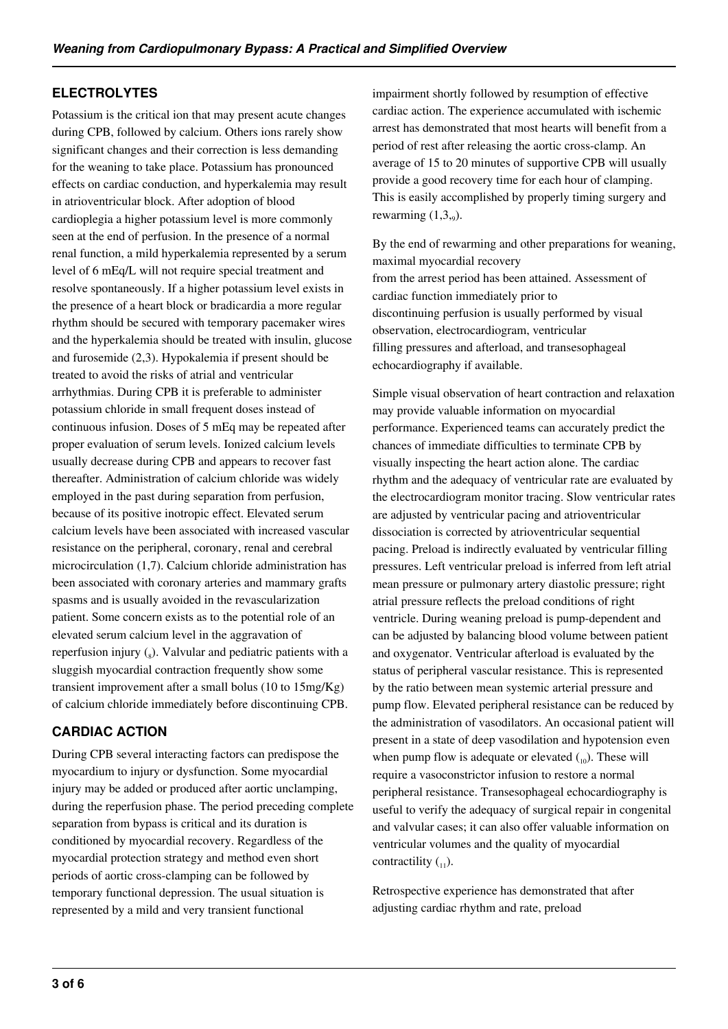### **ELECTROLYTES**

Potassium is the critical ion that may present acute changes during CPB, followed by calcium. Others ions rarely show significant changes and their correction is less demanding for the weaning to take place. Potassium has pronounced effects on cardiac conduction, and hyperkalemia may result in atrioventricular block. After adoption of blood cardioplegia a higher potassium level is more commonly seen at the end of perfusion. In the presence of a normal renal function, a mild hyperkalemia represented by a serum level of 6 mEq/L will not require special treatment and resolve spontaneously. If a higher potassium level exists in the presence of a heart block or bradicardia a more regular rhythm should be secured with temporary pacemaker wires and the hyperkalemia should be treated with insulin, glucose and furosemide (2,3). Hypokalemia if present should be treated to avoid the risks of atrial and ventricular arrhythmias. During CPB it is preferable to administer potassium chloride in small frequent doses instead of continuous infusion. Doses of 5 mEq may be repeated after proper evaluation of serum levels. Ionized calcium levels usually decrease during CPB and appears to recover fast thereafter. Administration of calcium chloride was widely employed in the past during separation from perfusion, because of its positive inotropic effect. Elevated serum calcium levels have been associated with increased vascular resistance on the peripheral, coronary, renal and cerebral microcirculation (1,7). Calcium chloride administration has been associated with coronary arteries and mammary grafts spasms and is usually avoided in the revascularization patient. Some concern exists as to the potential role of an elevated serum calcium level in the aggravation of reperfusion injury  $\binom{1}{8}$ . Valvular and pediatric patients with a sluggish myocardial contraction frequently show some transient improvement after a small bolus (10 to 15mg/Kg) of calcium chloride immediately before discontinuing CPB.

### **CARDIAC ACTION**

During CPB several interacting factors can predispose the myocardium to injury or dysfunction. Some myocardial injury may be added or produced after aortic unclamping, during the reperfusion phase. The period preceding complete separation from bypass is critical and its duration is conditioned by myocardial recovery. Regardless of the myocardial protection strategy and method even short periods of aortic cross-clamping can be followed by temporary functional depression. The usual situation is represented by a mild and very transient functional

impairment shortly followed by resumption of effective cardiac action. The experience accumulated with ischemic arrest has demonstrated that most hearts will benefit from a period of rest after releasing the aortic cross-clamp. An average of 15 to 20 minutes of supportive CPB will usually provide a good recovery time for each hour of clamping. This is easily accomplished by properly timing surgery and rewarming  $(1,3,9)$ .

By the end of rewarming and other preparations for weaning, maximal myocardial recovery from the arrest period has been attained. Assessment of cardiac function immediately prior to discontinuing perfusion is usually performed by visual observation, electrocardiogram, ventricular filling pressures and afterload, and transesophageal echocardiography if available.

Simple visual observation of heart contraction and relaxation may provide valuable information on myocardial performance. Experienced teams can accurately predict the chances of immediate difficulties to terminate CPB by visually inspecting the heart action alone. The cardiac rhythm and the adequacy of ventricular rate are evaluated by the electrocardiogram monitor tracing. Slow ventricular rates are adjusted by ventricular pacing and atrioventricular dissociation is corrected by atrioventricular sequential pacing. Preload is indirectly evaluated by ventricular filling pressures. Left ventricular preload is inferred from left atrial mean pressure or pulmonary artery diastolic pressure; right atrial pressure reflects the preload conditions of right ventricle. During weaning preload is pump-dependent and can be adjusted by balancing blood volume between patient and oxygenator. Ventricular afterload is evaluated by the status of peripheral vascular resistance. This is represented by the ratio between mean systemic arterial pressure and pump flow. Elevated peripheral resistance can be reduced by the administration of vasodilators. An occasional patient will present in a state of deep vasodilation and hypotension even when pump flow is adequate or elevated  $_{10}$ ). These will require a vasoconstrictor infusion to restore a normal peripheral resistance. Transesophageal echocardiography is useful to verify the adequacy of surgical repair in congenital and valvular cases; it can also offer valuable information on ventricular volumes and the quality of myocardial contractility  $\binom{1}{1}$ .

Retrospective experience has demonstrated that after adjusting cardiac rhythm and rate, preload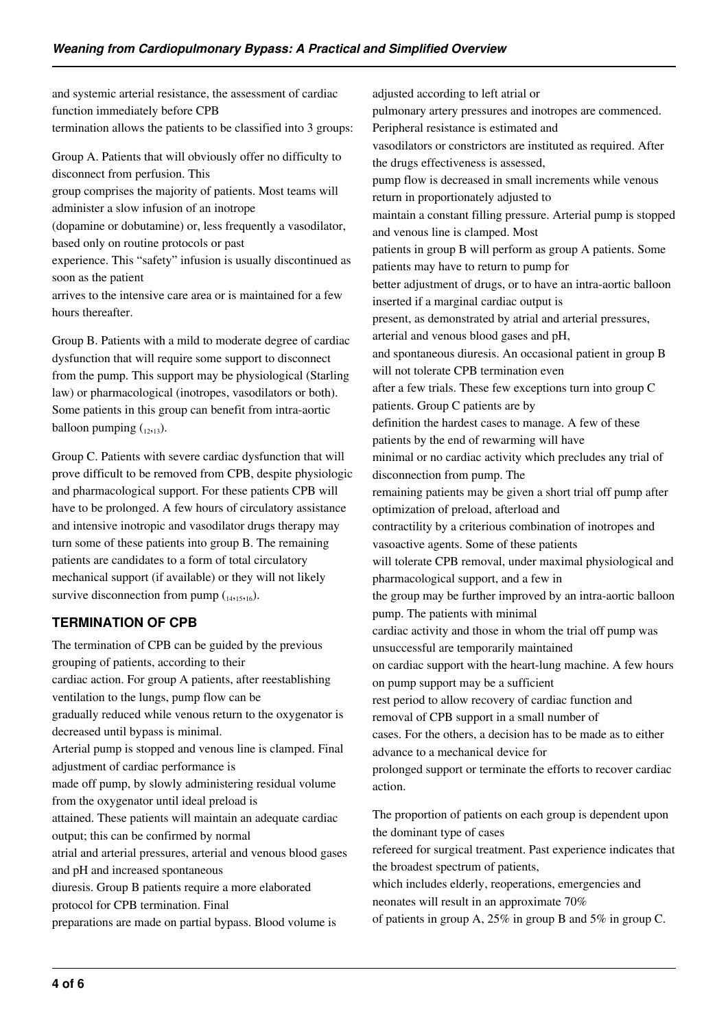and systemic arterial resistance, the assessment of cardiac function immediately before CPB termination allows the patients to be classified into 3 groups:

Group A. Patients that will obviously offer no difficulty to disconnect from perfusion. This group comprises the majority of patients. Most teams will administer a slow infusion of an inotrope (dopamine or dobutamine) or, less frequently a vasodilator, based only on routine protocols or past experience. This "safety" infusion is usually discontinued as soon as the patient arrives to the intensive care area or is maintained for a few hours thereafter.

Group B. Patients with a mild to moderate degree of cardiac dysfunction that will require some support to disconnect from the pump. This support may be physiological (Starling law) or pharmacological (inotropes, vasodilators or both). Some patients in this group can benefit from intra-aortic balloon pumping  $_{12,13}$ ).

Group C. Patients with severe cardiac dysfunction that will prove difficult to be removed from CPB, despite physiologic and pharmacological support. For these patients CPB will have to be prolonged. A few hours of circulatory assistance and intensive inotropic and vasodilator drugs therapy may turn some of these patients into group B. The remaining patients are candidates to a form of total circulatory mechanical support (if available) or they will not likely survive disconnection from pump  $\binom{14}{14,15,16}$ .

### **TERMINATION OF CPB**

The termination of CPB can be guided by the previous grouping of patients, according to their

cardiac action. For group A patients, after reestablishing ventilation to the lungs, pump flow can be

gradually reduced while venous return to the oxygenator is decreased until bypass is minimal.

Arterial pump is stopped and venous line is clamped. Final adjustment of cardiac performance is

made off pump, by slowly administering residual volume from the oxygenator until ideal preload is

attained. These patients will maintain an adequate cardiac output; this can be confirmed by normal

atrial and arterial pressures, arterial and venous blood gases and pH and increased spontaneous

diuresis. Group B patients require a more elaborated protocol for CPB termination. Final

preparations are made on partial bypass. Blood volume is

adjusted according to left atrial or pulmonary artery pressures and inotropes are commenced. Peripheral resistance is estimated and vasodilators or constrictors are instituted as required. After the drugs effectiveness is assessed, pump flow is decreased in small increments while venous return in proportionately adjusted to maintain a constant filling pressure. Arterial pump is stopped and venous line is clamped. Most patients in group B will perform as group A patients. Some patients may have to return to pump for better adjustment of drugs, or to have an intra-aortic balloon inserted if a marginal cardiac output is present, as demonstrated by atrial and arterial pressures, arterial and venous blood gases and pH, and spontaneous diuresis. An occasional patient in group B will not tolerate CPB termination even after a few trials. These few exceptions turn into group C patients. Group C patients are by definition the hardest cases to manage. A few of these patients by the end of rewarming will have minimal or no cardiac activity which precludes any trial of disconnection from pump. The remaining patients may be given a short trial off pump after optimization of preload, afterload and contractility by a criterious combination of inotropes and vasoactive agents. Some of these patients will tolerate CPB removal, under maximal physiological and pharmacological support, and a few in the group may be further improved by an intra-aortic balloon pump. The patients with minimal cardiac activity and those in whom the trial off pump was unsuccessful are temporarily maintained on cardiac support with the heart-lung machine. A few hours on pump support may be a sufficient rest period to allow recovery of cardiac function and removal of CPB support in a small number of cases. For the others, a decision has to be made as to either advance to a mechanical device for prolonged support or terminate the efforts to recover cardiac action. The proportion of patients on each group is dependent upon the dominant type of cases

refereed for surgical treatment. Past experience indicates that the broadest spectrum of patients,

which includes elderly, reoperations, emergencies and neonates will result in an approximate 70%

of patients in group A, 25% in group B and 5% in group C.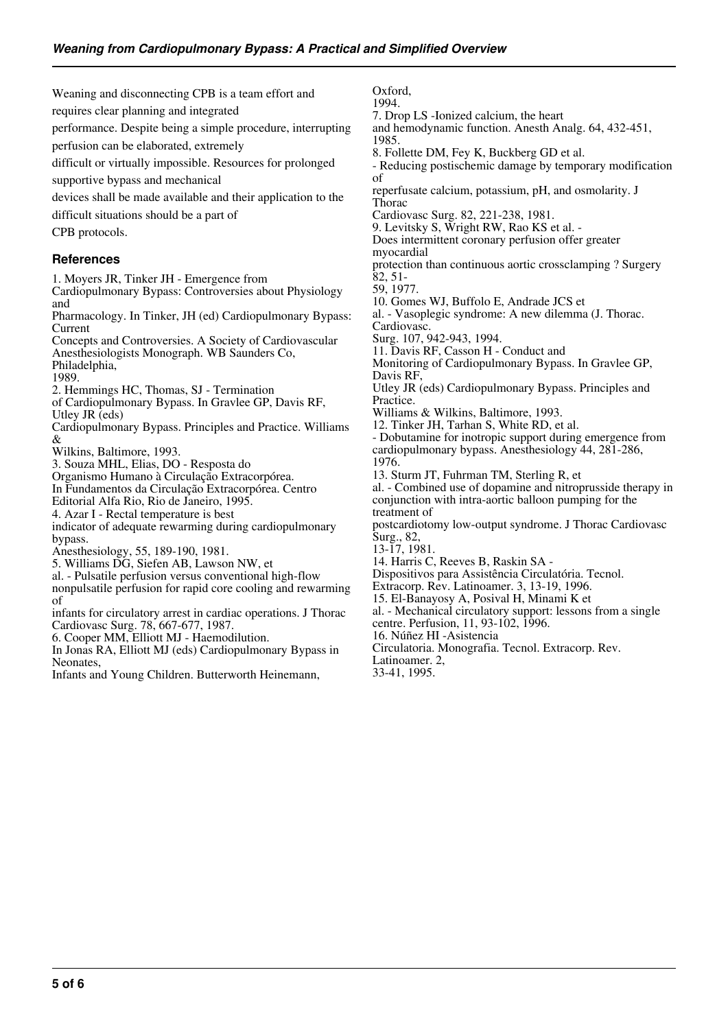Weaning and disconnecting CPB is a team effort and requires clear planning and integrated performance. Despite being a simple procedure, interrupting perfusion can be elaborated, extremely difficult or virtually impossible. Resources for prolonged supportive bypass and mechanical devices shall be made available and their application to the difficult situations should be a part of CPB protocols. **References** 1. Moyers JR, Tinker JH - Emergence from Cardiopulmonary Bypass: Controversies about Physiology and Pharmacology. In Tinker, JH (ed) Cardiopulmonary Bypass: Current Concepts and Controversies. A Society of Cardiovascular Anesthesiologists Monograph. WB Saunders Co, Philadelphia, 1989. 2. Hemmings HC, Thomas, SJ - Termination of Cardiopulmonary Bypass. In Gravlee GP, Davis RF, Utley JR (eds) Cardiopulmonary Bypass. Principles and Practice. Williams Wilkins, Baltimore, 1993. 3. Souza MHL, Elias, DO - Resposta do Organismo Humano à Circulação Extracorpórea. In Fundamentos da Circulação Extracorpórea. Centro Editorial Alfa Rio, Rio de Janeiro, 1995. 4. Azar I - Rectal temperature is best indicator of adequate rewarming during cardiopulmonary bypass. Anesthesiology, 55, 189-190, 1981. 5. Williams DG, Siefen AB, Lawson NW, et al. - Pulsatile perfusion versus conventional high-flow nonpulsatile perfusion for rapid core cooling and rewarming infants for circulatory arrest in cardiac operations. J Thorac Cardiovasc Surg. 78, 667-677, 1987. 6. Cooper MM, Elliott MJ - Haemodilution. In Jonas RA, Elliott MJ (eds) Cardiopulmonary Bypass in Neonates, Oxford, 1994. 1985. of Thorac myocardial 82, 51- 59, 1977. Cardiovasc. Davis RF, Practice. 1976. treatment of Surg., 82, 13-17, 1981. Latinoamer. 2,

Infants and Young Children. Butterworth Heinemann,

7. Drop LS -Ionized calcium, the heart

and hemodynamic function. Anesth Analg. 64, 432-451,

8. Follette DM, Fey K, Buckberg GD et al.

- Reducing postischemic damage by temporary modification

reperfusate calcium, potassium, pH, and osmolarity. J

Cardiovasc Surg. 82, 221-238, 1981.

9. Levitsky S, Wright RW, Rao KS et al. -

Does intermittent coronary perfusion offer greater

protection than continuous aortic crossclamping ? Surgery

10. Gomes WJ, Buffolo E, Andrade JCS et

al. - Vasoplegic syndrome: A new dilemma (J. Thorac.

Surg. 107, 942-943, 1994.

11. Davis RF, Casson H - Conduct and

Monitoring of Cardiopulmonary Bypass. In Gravlee GP,

Utley JR (eds) Cardiopulmonary Bypass. Principles and

Williams & Wilkins, Baltimore, 1993.

12. Tinker JH, Tarhan S, White RD, et al.

- Dobutamine for inotropic support during emergence from cardiopulmonary bypass. Anesthesiology 44, 281-286,

13. Sturm JT, Fuhrman TM, Sterling R, et

al. - Combined use of dopamine and nitroprusside therapy in conjunction with intra-aortic balloon pumping for the

postcardiotomy low-output syndrome. J Thorac Cardiovasc

14. Harris C, Reeves B, Raskin SA -

Dispositivos para Assistência Circulatória. Tecnol.

Extracorp. Rev. Latinoamer. 3, 13-19, 1996.

15. El-Banayosy A, Posival H, Minami K et

al. - Mechanical circulatory support: lessons from a single centre. Perfusion, 11, 93-102, 1996.

16. Núñez HI -Asistencia

Circulatoria. Monografia. Tecnol. Extracorp. Rev.

33-41, 1995.

&

of